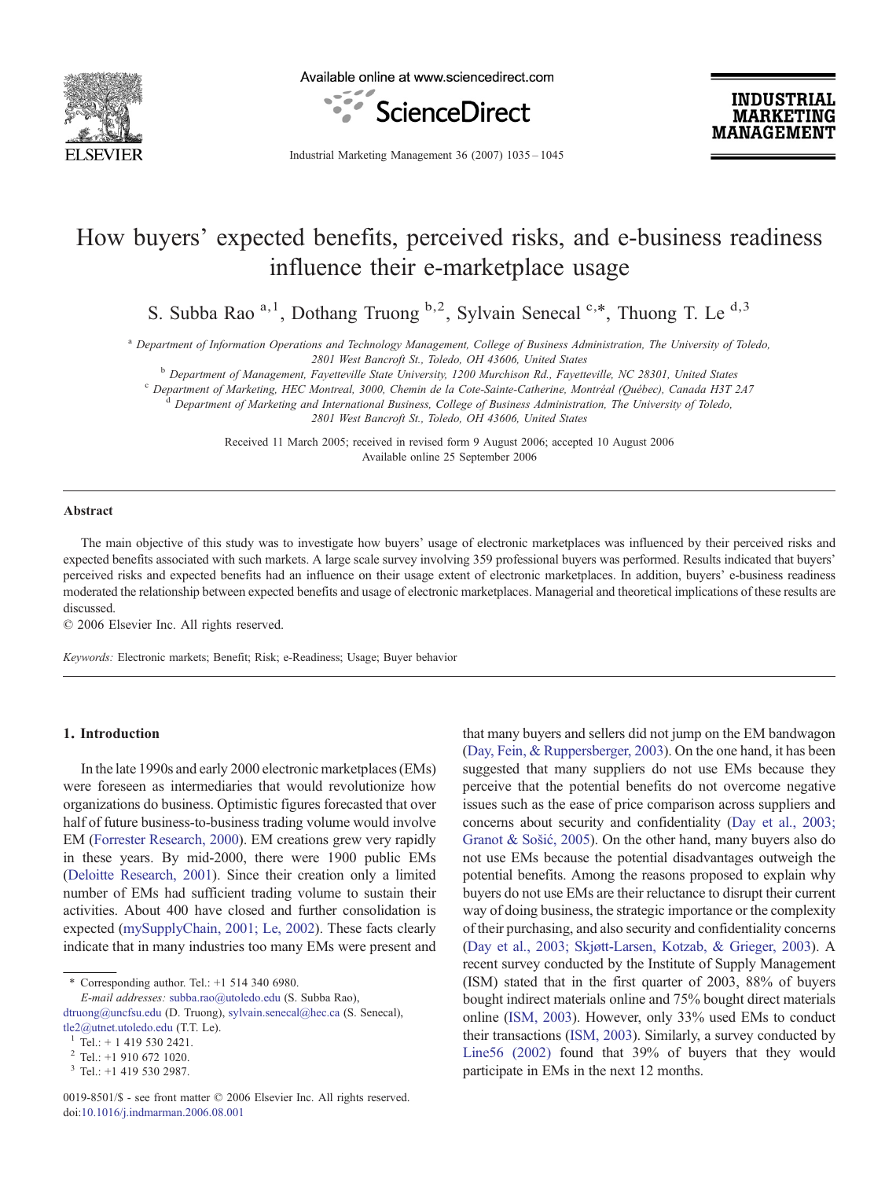

Available online at www.sciencedirect.com



**INDUSTRIAL MARKETING MANAGEMENT** 

Industrial Marketing Management 36 (2007) 1035–1045

# How buyers' expected benefits, perceived risks, and e-business readiness influence their e-marketplace usage

S. Subba Rao  $a,1$ , Dothang Truong  $b,2$ , Sylvain Senecal  $c, *$ , Thuong T. Le  $d,3$ 

<sup>a</sup> Department of Information Operations and Technology Management, College of Business Administration, The University of Toledo,

2801 West Bancroft St., Toledo, OH 43606, United States<br><sup>b</sup> Department of Management, Fayetteville State University, 1200 Murchison Rd., Fayetteville, NC 28301, United States<br><sup>c</sup> Department of Marketing, HEC Montreal, 3000

<sup>d</sup> Department of Marketing and International Business, College of Business Administration, The University of Toledo,

2801 West Bancroft St., Toledo, OH 43606, United States

Received 11 March 2005; received in revised form 9 August 2006; accepted 10 August 2006 Available online 25 September 2006

#### Abstract

The main objective of this study was to investigate how buyers' usage of electronic marketplaces was influenced by their perceived risks and expected benefits associated with such markets. A large scale survey involving 359 professional buyers was performed. Results indicated that buyers' perceived risks and expected benefits had an influence on their usage extent of electronic marketplaces. In addition, buyers' e-business readiness moderated the relationship between expected benefits and usage of electronic marketplaces. Managerial and theoretical implications of these results are discussed.

© 2006 Elsevier Inc. All rights reserved.

Keywords: Electronic markets; Benefit; Risk; e-Readiness; Usage; Buyer behavior

## 1. Introduction

In the late 1990s and early 2000 electronic marketplaces (EMs) were foreseen as intermediaries that would revolutionize how organizations do business. Optimistic figures forecasted that over half of future business-to-business trading volume would involve EM [\(Forrester Research, 2000\)](#page--1-0). EM creations grew very rapidly in these years. By mid-2000, there were 1900 public EMs ([Deloitte Research, 2001\)](#page--1-0). Since their creation only a limited number of EMs had sufficient trading volume to sustain their activities. About 400 have closed and further consolidation is expected [\(mySupplyChain, 2001; Le, 2002\)](#page--1-0). These facts clearly indicate that in many industries too many EMs were present and

E-mail addresses: [subba.rao@utoledo.edu](mailto:subba.rao@utoledo.edu) (S. Subba Rao), [dtruong@uncfsu.edu](mailto:dtruong@uncfsu.edu) (D. Truong), [sylvain.senecal@hec.ca](mailto:sylvain.senecal@hec.ca) (S. Senecal), [tle2@utnet.utoledo.edu](mailto:tle2@utnet.utoledo.edu) (T.T. Le).

that many buyers and sellers did not jump on the EM bandwagon ([Day, Fein, & Ruppersberger, 2003\)](#page--1-0). On the one hand, it has been suggested that many suppliers do not use EMs because they perceive that the potential benefits do not overcome negative issues such as the ease of price comparison across suppliers and concerns about security and confidentiality ([Day et al., 2003;](#page--1-0) [Granot & So](#page--1-0)šić, 2005). On the other hand, many buyers also do not use EMs because the potential disadvantages outweigh the potential benefits. Among the reasons proposed to explain why buyers do not use EMs are their reluctance to disrupt their current way of doing business, the strategic importance or the complexity of their purchasing, and also security and confidentiality concerns ([Day et al., 2003; Skjøtt-Larsen, Kotzab, & Grieger, 2003](#page--1-0)). A recent survey conducted by the Institute of Supply Management (ISM) stated that in the first quarter of 2003, 88% of buyers bought indirect materials online and 75% bought direct materials online [\(ISM, 2003](#page--1-0)). However, only 33% used EMs to conduct their transactions ([ISM, 2003\)](#page--1-0). Similarly, a survey conducted by [Line56 \(2002\)](#page--1-0) found that 39% of buyers that they would participate in EMs in the next 12 months.

<sup>⁎</sup> Corresponding author. Tel.: +1 514 340 6980.

 $\frac{1}{2}$  Tel.: + 1 419 530 2421.<br>  $\frac{2}{3}$  Tel.: +1 910 672 1020.<br>  $\frac{3}{3}$  Tel.: +1 419 530 2987.

<sup>0019-8501/\$ -</sup> see front matter © 2006 Elsevier Inc. All rights reserved. doi:[10.1016/j.indmarman.2006.08.001](http://dx.doi.org/10.1016/j.indmarman.2006.08.001)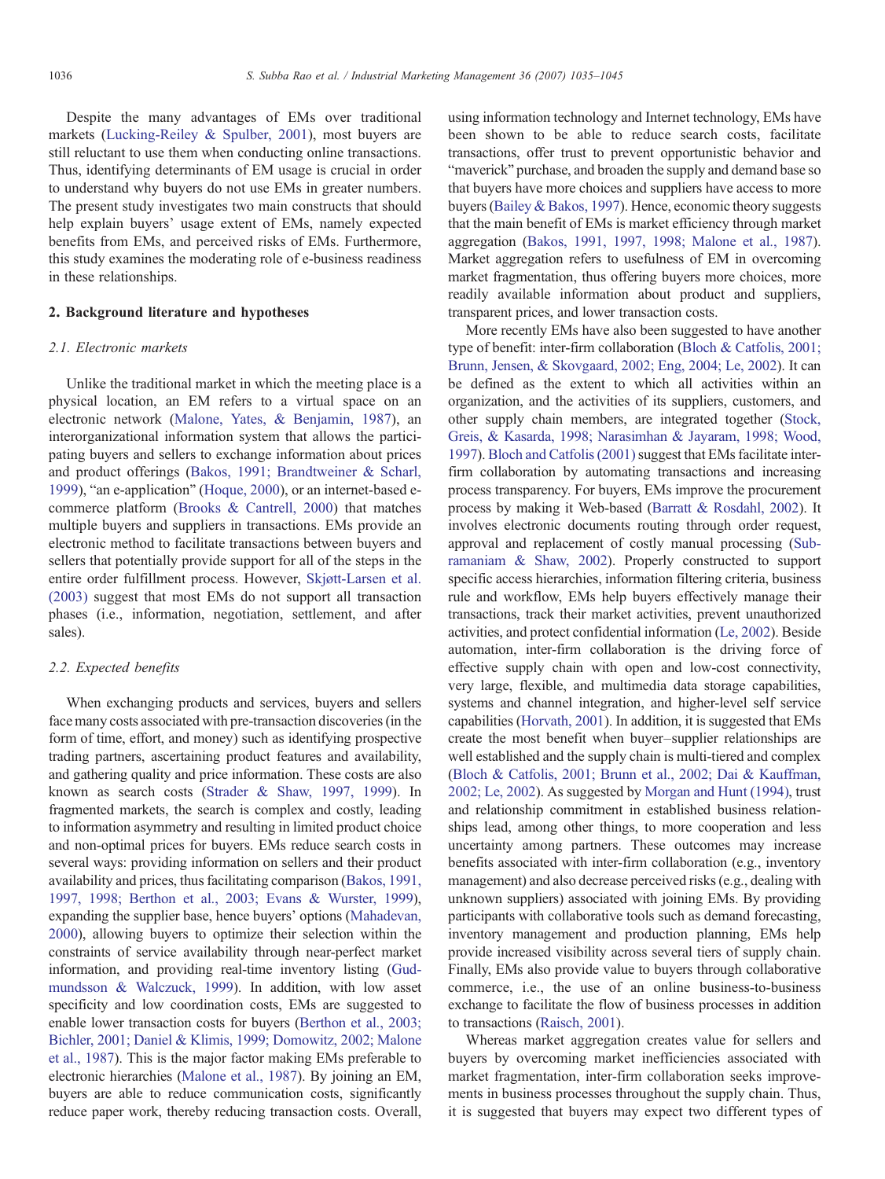Despite the many advantages of EMs over traditional markets [\(Lucking-Reiley & Spulber, 2001](#page--1-0)), most buyers are still reluctant to use them when conducting online transactions. Thus, identifying determinants of EM usage is crucial in order to understand why buyers do not use EMs in greater numbers. The present study investigates two main constructs that should help explain buyers' usage extent of EMs, namely expected benefits from EMs, and perceived risks of EMs. Furthermore, this study examines the moderating role of e-business readiness in these relationships.

## 2. Background literature and hypotheses

#### 2.1. Electronic markets

Unlike the traditional market in which the meeting place is a physical location, an EM refers to a virtual space on an electronic network [\(Malone, Yates, & Benjamin, 1987\)](#page--1-0), an interorganizational information system that allows the participating buyers and sellers to exchange information about prices and product offerings [\(Bakos, 1991; Brandtweiner & Scharl,](#page--1-0) [1999\)](#page--1-0), "an e-application" [\(Hoque, 2000](#page--1-0)), or an internet-based ecommerce platform ([Brooks & Cantrell, 2000](#page--1-0)) that matches multiple buyers and suppliers in transactions. EMs provide an electronic method to facilitate transactions between buyers and sellers that potentially provide support for all of the steps in the entire order fulfillment process. However, [Skjøtt-Larsen et al.](#page--1-0) [\(2003\)](#page--1-0) suggest that most EMs do not support all transaction phases (i.e., information, negotiation, settlement, and after sales).

## 2.2. Expected benefits

When exchanging products and services, buyers and sellers face many costs associated with pre-transaction discoveries (in the form of time, effort, and money) such as identifying prospective trading partners, ascertaining product features and availability, and gathering quality and price information. These costs are also known as search costs [\(Strader & Shaw, 1997, 1999](#page--1-0)). In fragmented markets, the search is complex and costly, leading to information asymmetry and resulting in limited product choice and non-optimal prices for buyers. EMs reduce search costs in several ways: providing information on sellers and their product availability and prices, thus facilitating comparison ([Bakos, 1991,](#page--1-0) [1997, 1998; Berthon et al., 2003; Evans & Wurster, 1999](#page--1-0)), expanding the supplier base, hence buyers' options ([Mahadevan,](#page--1-0) [2000](#page--1-0)), allowing buyers to optimize their selection within the constraints of service availability through near-perfect market information, and providing real-time inventory listing ([Gud](#page--1-0)[mundsson & Walczuck, 1999](#page--1-0)). In addition, with low asset specificity and low coordination costs, EMs are suggested to enable lower transaction costs for buyers ([Berthon et al., 2003;](#page--1-0) [Bichler, 2001; Daniel & Klimis, 1999; Domowitz, 2002; Malone](#page--1-0) [et al., 1987\)](#page--1-0). This is the major factor making EMs preferable to electronic hierarchies [\(Malone et al., 1987](#page--1-0)). By joining an EM, buyers are able to reduce communication costs, significantly reduce paper work, thereby reducing transaction costs. Overall, using information technology and Internet technology, EMs have been shown to be able to reduce search costs, facilitate transactions, offer trust to prevent opportunistic behavior and "maverick" purchase, and broaden the supply and demand base so that buyers have more choices and suppliers have access to more buyers ([Bailey & Bakos, 1997](#page--1-0)). Hence, economic theory suggests that the main benefit of EMs is market efficiency through market aggregation [\(Bakos, 1991, 1997, 1998; Malone et al., 1987](#page--1-0)). Market aggregation refers to usefulness of EM in overcoming market fragmentation, thus offering buyers more choices, more readily available information about product and suppliers, transparent prices, and lower transaction costs.

More recently EMs have also been suggested to have another type of benefit: inter-firm collaboration [\(Bloch & Catfolis, 2001;](#page--1-0) [Brunn, Jensen, & Skovgaard, 2002; Eng, 2004; Le, 2002\)](#page--1-0). It can be defined as the extent to which all activities within an organization, and the activities of its suppliers, customers, and other supply chain members, are integrated together [\(Stock,](#page--1-0) [Greis, & Kasarda, 1998; Narasimhan & Jayaram, 1998; Wood,](#page--1-0) [1997](#page--1-0)). [Bloch and Catfolis \(2001\)](#page--1-0) suggest that EMs facilitate interfirm collaboration by automating transactions and increasing process transparency. For buyers, EMs improve the procurement process by making it Web-based [\(Barratt & Rosdahl, 2002\)](#page--1-0). It involves electronic documents routing through order request, approval and replacement of costly manual processing [\(Sub](#page--1-0)[ramaniam & Shaw, 2002\)](#page--1-0). Properly constructed to support specific access hierarchies, information filtering criteria, business rule and workflow, EMs help buyers effectively manage their transactions, track their market activities, prevent unauthorized activities, and protect confidential information [\(Le, 2002\)](#page--1-0). Beside automation, inter-firm collaboration is the driving force of effective supply chain with open and low-cost connectivity, very large, flexible, and multimedia data storage capabilities, systems and channel integration, and higher-level self service capabilities ([Horvath, 2001\)](#page--1-0). In addition, it is suggested that EMs create the most benefit when buyer–supplier relationships are well established and the supply chain is multi-tiered and complex ([Bloch & Catfolis, 2001; Brunn et al., 2002; Dai & Kauffman,](#page--1-0) [2002; Le, 2002\)](#page--1-0). As suggested by [Morgan and Hunt \(1994\),](#page--1-0) trust and relationship commitment in established business relationships lead, among other things, to more cooperation and less uncertainty among partners. These outcomes may increase benefits associated with inter-firm collaboration (e.g., inventory management) and also decrease perceived risks (e.g., dealing with unknown suppliers) associated with joining EMs. By providing participants with collaborative tools such as demand forecasting, inventory management and production planning, EMs help provide increased visibility across several tiers of supply chain. Finally, EMs also provide value to buyers through collaborative commerce, i.e., the use of an online business-to-business exchange to facilitate the flow of business processes in addition to transactions ([Raisch, 2001\)](#page--1-0).

Whereas market aggregation creates value for sellers and buyers by overcoming market inefficiencies associated with market fragmentation, inter-firm collaboration seeks improvements in business processes throughout the supply chain. Thus, it is suggested that buyers may expect two different types of